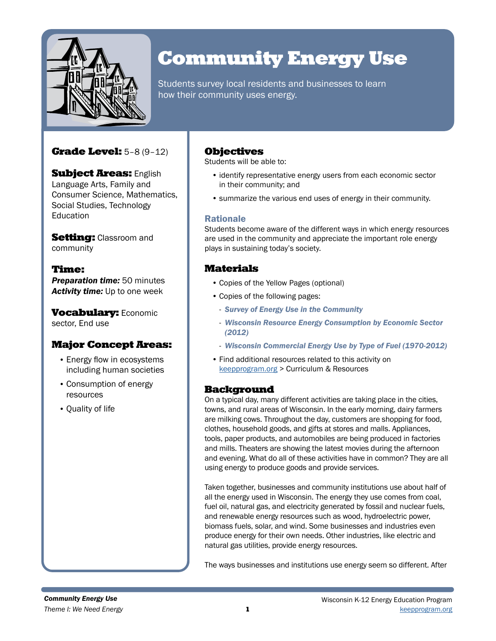

# Community Energy Use

Students survey local residents and businesses to learn how their community uses energy.

## Grade Level: 5–8 (9–12)

**Subject Areas: English** Language Arts, Family and Consumer Science, Mathematics, Social Studies, Technology **Education** 

**Setting: Classroom and** community

## Time:

*Preparation time:* 50 minutes *Activity time:* Up to one week

**Vocabulary: Economic** sector, End use

## Major Concept Areas:

- Energy flow in ecosystems including human societies
- Consumption of energy resources
- Quality of life

## **Objectives**

Students will be able to:

- identify representative energy users from each economic sector in their community; and
- summarize the various end uses of energy in their community.

#### Rationale

Students become aware of the different ways in which energy resources are used in the community and appreciate the important role energy plays in sustaining today's society.

## Materials

- Copies of the Yellow Pages (optional)
- Copies of the following pages:
	- *Survey of Energy Use in the Community*
	- *Wisconsin Resource Energy Consumption by Economic Sector (2012)*
	- *Wisconsin Commercial Energy Use by Type of Fuel (1970-2012)*
- Find additional resources related to this activity on [keepprogram.org](http://keepprogram.org) > Curriculum & Resources

### Background

On a typical day, many different activities are taking place in the cities, towns, and rural areas of Wisconsin. In the early morning, dairy farmers are milking cows. Throughout the day, customers are shopping for food, clothes, household goods, and gifts at stores and malls. Appliances, tools, paper products, and automobiles are being produced in factories and mills. Theaters are showing the latest movies during the afternoon and evening. What do all of these activities have in common? They are all using energy to produce goods and provide services.

Taken together, businesses and community institutions use about half of all the energy used in Wisconsin. The energy they use comes from coal, fuel oil, natural gas, and electricity generated by fossil and nuclear fuels, and renewable energy resources such as wood, hydroelectric power, biomass fuels, solar, and wind. Some businesses and industries even produce energy for their own needs. Other industries, like electric and natural gas utilities, provide energy resources.

The ways businesses and institutions use energy seem so different. After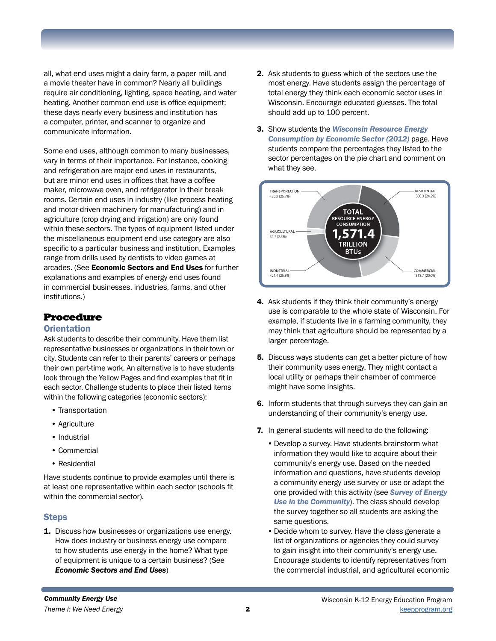all, what end uses might a dairy farm, a paper mill, and a movie theater have in common? Nearly all buildings require air conditioning, lighting, space heating, and water heating. Another common end use is office equipment; these days nearly every business and institution has a computer, printer, and scanner to organize and communicate information.

Some end uses, although common to many businesses, vary in terms of their importance. For instance, cooking and refrigeration are major end uses in restaurants, but are minor end uses in offices that have a coffee maker, microwave oven, and refrigerator in their break rooms. Certain end uses in industry (like process heating and motor-driven machinery for manufacturing) and in agriculture (crop drying and irrigation) are only found within these sectors. The types of equipment listed under the miscellaneous equipment end use category are also specific to a particular business and institution. Examples range from drills used by dentists to video games at arcades. (See Economic Sectors and End Uses for further explanations and examples of energy end uses found in commercial businesses, industries, farms, and other institutions.)

## Procedure

#### **Orientation**

Ask students to describe their community. Have them list representative businesses or organizations in their town or city. Students can refer to their parents' careers or perhaps their own part-time work. An alternative is to have students look through the Yellow Pages and find examples that fit in each sector. Challenge students to place their listed items within the following categories (economic sectors):

- Transportation
- Agriculture
- Industrial
- Commercial
- Residential

Have students continue to provide examples until there is at least one representative within each sector (schools fit within the commercial sector).

#### **Steps**

**1.** Discuss how businesses or organizations use energy. How does industry or business energy use compare to how students use energy in the home? What type of equipment is unique to a certain business? (See *Economic Sectors and End Uses*)

- 2. Ask students to guess which of the sectors use the most energy. Have students assign the percentage of total energy they think each economic sector uses in Wisconsin. Encourage educated guesses. The total should add up to 100 percent.
- 3. Show students the *Wisconsin Resource Energy Consumption by Economic Sector (2012)* page. Have students compare the percentages they listed to the sector percentages on the pie chart and comment on what they see.



- 4. Ask students if they think their community's energy use is comparable to the whole state of Wisconsin. For example, if students live in a farming community, they may think that agriculture should be represented by a larger percentage.
- **5.** Discuss ways students can get a better picture of how their community uses energy. They might contact a local utility or perhaps their chamber of commerce might have some insights.
- 6. Inform students that through surveys they can gain an understanding of their community's energy use.
- 7. In general students will need to do the following:
	- •Develop a survey. Have students brainstorm what information they would like to acquire about their community's energy use. Based on the needed information and questions, have students develop a community energy use survey or use or adapt the one provided with this activity (see *Survey of Energy Use in the Community*). The class should develop the survey together so all students are asking the same questions.
	- •Decide whom to survey. Have the class generate a list of organizations or agencies they could survey to gain insight into their community's energy use. Encourage students to identify representatives from the commercial industrial, and agricultural economic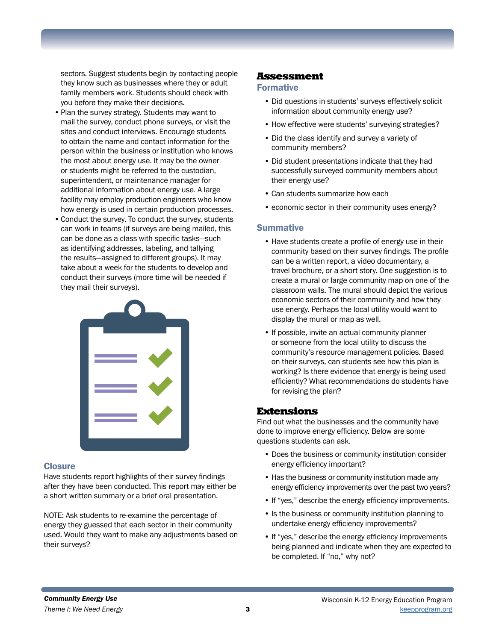sectors. Suggest students begin by contacting people they know such as businesses where they or adult family members work. Students should check with you before they make their decisions.

- Plan the survey strategy. Students may want to mail the survey, conduct phone surveys, or visit the sites and conduct interviews. Encourage students to obtain the name and contact information for the person within the business or institution who knows the most about energy use. It may be the owner or students might be referred to the custodian, superintendent, or maintenance manager for additional information about energy use. A large facility may employ production engineers who know how energy is used in certain production processes.
- •Conduct the survey. To conduct the survey, students can work in teams (if surveys are being mailed, this can be done as a class with specific tasks—such as identifying addresses, labeling, and tallying the results—assigned to different groups). It may take about a week for the students to develop and conduct their surveys (more time will be needed if they mail their surveys).



#### **Closure**

Have students report highlights of their survey findings after they have been conducted. This report may either be a short written summary or a brief oral presentation.

NOTE: Ask students to re-examine the percentage of energy they guessed that each sector in their community used. Would they want to make any adjustments based on their surveys?

#### Assessment

#### Formative

- Did questions in students' surveys effectively solicit information about community energy use?
- How effective were students' surveying strategies?
- Did the class identify and survey a variety of community members?
- Did student presentations indicate that they had successfully surveyed community members about their energy use?
- Can students summarize how each
- economic sector in their community uses energy?

#### **Summative**

- Have students create a profile of energy use in their community based on their survey findings. The profile can be a written report, a video documentary, a travel brochure, or a short story. One suggestion is to create a mural or large community map on one of the classroom walls. The mural should depict the various economic sectors of their community and how they use energy. Perhaps the local utility would want to display the mural or map as well.
- If possible, invite an actual community planner or someone from the local utility to discuss the community's resource management policies. Based on their surveys, can students see how this plan is working? Is there evidence that energy is being used efficiently? What recommendations do students have for revising the plan?

#### Extensions

Find out what the businesses and the community have done to improve energy efficiency. Below are some questions students can ask.

- Does the business or community institution consider energy efficiency important?
- Has the business or community institution made any energy efficiency improvements over the past two years?
- If "yes," describe the energy efficiency improvements.
- Is the business or community institution planning to undertake energy efficiency improvements?
- If "yes," describe the energy efficiency improvements being planned and indicate when they are expected to be completed. If "no," why not?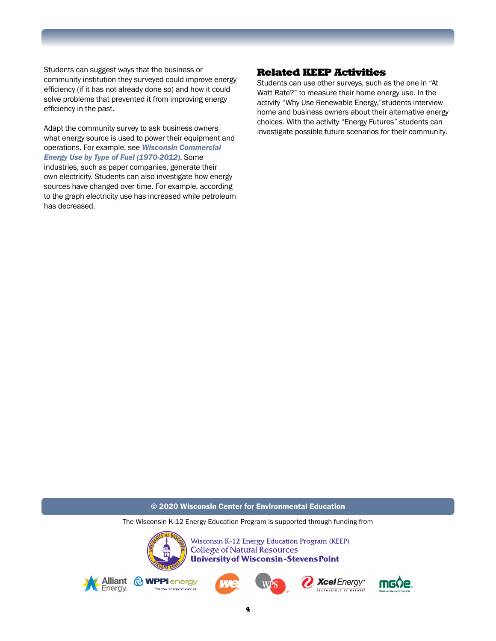Students can suggest ways that the business or community institution they surveyed could improve energy efficiency (if it has not already done so) and how it could solve problems that prevented it from improving energy efficiency in the past.

Adapt the community survey to ask business owners what energy source is used to power their equipment and operations. For example, see *Wisconsin Commercial Energy Use by Type of Fuel (1970-2012)*. Some industries, such as paper companies, generate their own electricity. Students can also investigate how energy sources have changed over time. For example, according to the graph electricity use has increased while petroleum has decreased.

#### Related KEEP Activities

Students can use other surveys, such as the one in "At Watt Rate?" to measure their home energy use. In the activity "Why Use Renewable Energy,"students interview home and business owners about their alternative energy choices. With the activity "Energy Futures" students can investigate possible future scenarios for their community.

© 2020 Wisconsin Center for Environmental Education

The Wisconsin K-12 Energy Education Program is supported through funding from



Wisconsin K-12 Energy Education Program (KEEP) **College of Natural Resources University of Wisconsin-Stevens Point** 









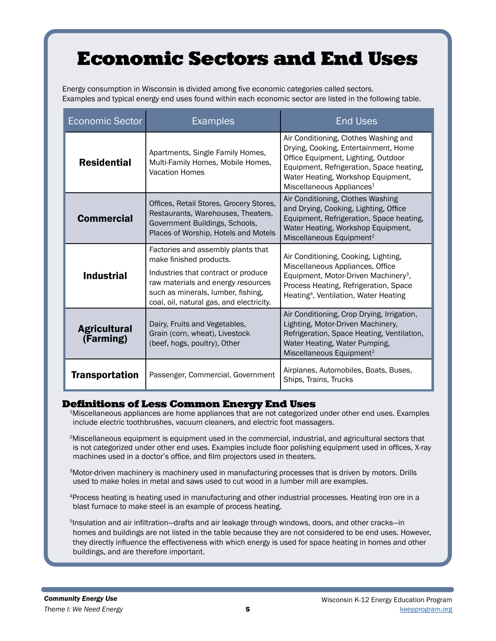## Economic Sectors and End Uses

Energy consumption in Wisconsin is divided among five economic categories called sectors. Examples and typical energy end uses found within each economic sector are listed in the following table.

| <b>Economic Sector</b>           | <b>Examples</b>                                                                                                                                                                                                              | <b>End Uses</b>                                                                                                                                                                                                                                 |
|----------------------------------|------------------------------------------------------------------------------------------------------------------------------------------------------------------------------------------------------------------------------|-------------------------------------------------------------------------------------------------------------------------------------------------------------------------------------------------------------------------------------------------|
| <b>Residential</b>               | Apartments, Single Family Homes,<br>Multi-Family Homes, Mobile Homes,<br><b>Vacation Homes</b>                                                                                                                               | Air Conditioning, Clothes Washing and<br>Drying, Cooking, Entertainment, Home<br>Office Equipment, Lighting, Outdoor<br>Equipment, Refrigeration, Space heating,<br>Water Heating, Workshop Equipment,<br>Miscellaneous Appliances <sup>1</sup> |
| <b>Commercial</b>                | Offices, Retail Stores, Grocery Stores,<br>Restaurants, Warehouses, Theaters,<br>Government Buildings, Schools,<br>Places of Worship, Hotels and Motels                                                                      | Air Conditioning, Clothes Washing<br>and Drying, Cooking, Lighting, Office<br>Equipment, Refrigeration, Space heating,<br>Water Heating, Workshop Equipment,<br>Miscellaneous Equipment <sup>2</sup>                                            |
| <b>Industrial</b>                | Factories and assembly plants that<br>make finished products.<br>Industries that contract or produce<br>raw materials and energy resources<br>such as minerals, lumber, fishing,<br>coal, oil, natural gas, and electricity. | Air Conditioning, Cooking, Lighting,<br>Miscellaneous Appliances, Office<br>Equipment, Motor-Driven Machinery <sup>3</sup> ,<br>Process Heating, Refrigeration, Space<br>Heating <sup>4</sup> , Ventilation, Water Heating                      |
| <b>Agricultural</b><br>(Farming) | Dairy, Fruits and Vegetables,<br>Grain (corn, wheat), Livestock<br>(beef, hogs, poultry), Other                                                                                                                              | Air Conditioning, Crop Drying, Irrigation,<br>Lighting, Motor-Driven Machinery,<br>Refrigeration, Space Heating, Ventilation,<br>Water Heating, Water Pumping,<br>Miscellaneous Equipment <sup>2</sup>                                          |
| <b>Transportation</b>            | Passenger, Commercial, Government                                                                                                                                                                                            | Airplanes, Automobiles, Boats, Buses,<br>Ships, Trains, Trucks                                                                                                                                                                                  |

#### Definitions of Less Common Energy End Uses

<sup>1</sup>Miscellaneous appliances are home appliances that are not categorized under other end uses. Examples include electric toothbrushes, vacuum cleaners, and electric foot massagers.

2Miscellaneous equipment is equipment used in the commercial, industrial, and agricultural sectors that is not categorized under other end uses. Examples include floor polishing equipment used in offices, X-ray machines used in a doctor's office, and film projectors used in theaters.

3Motor-driven machinery is machinery used in manufacturing processes that is driven by motors. Drills used to make holes in metal and saws used to cut wood in a lumber mill are examples.

4Process heating is heating used in manufacturing and other industrial processes. Heating iron ore in a blast furnace to make steel is an example of process heating.

<sup>5</sup>Insulation and air infiltration—drafts and air leakage through windows, doors, and other cracks—in homes and buildings are not listed in the table because they are not considered to be end uses. However, they directly influence the effectiveness with which energy is used for space heating in homes and other buildings, and are therefore important.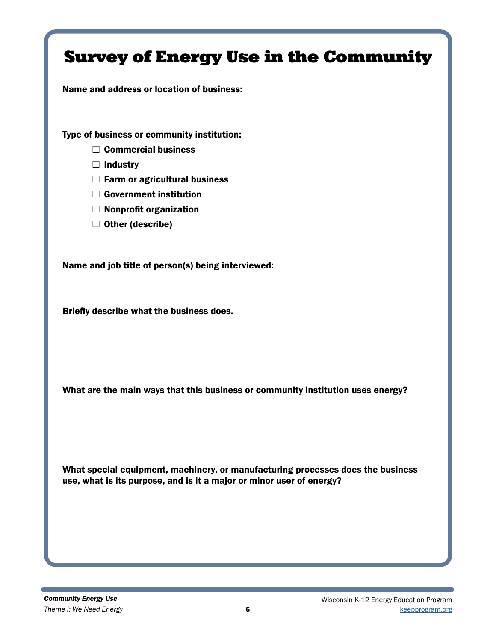| <b>Survey of Energy Use in the Community</b>                                                                                                                                                                                                       |
|----------------------------------------------------------------------------------------------------------------------------------------------------------------------------------------------------------------------------------------------------|
| Name and address or location of business:                                                                                                                                                                                                          |
| Type of business or community institution:<br>$\Box$ Commercial business<br><b>Industry</b><br>⊔<br>$\Box$ Farm or agricultural business<br><b>Government institution</b><br>$\Box$<br>$\Box$ Nonprofit organization<br>Other (describe)<br>$\Box$ |
| Name and job title of person(s) being interviewed:                                                                                                                                                                                                 |
| Briefly describe what the business does.                                                                                                                                                                                                           |
| What are the main ways that this business or community institution uses energy?                                                                                                                                                                    |
| What special equipment, machinery, or manufacturing processes does the business<br>use, what is its purpose, and is it a major or minor user of energy?                                                                                            |
|                                                                                                                                                                                                                                                    |